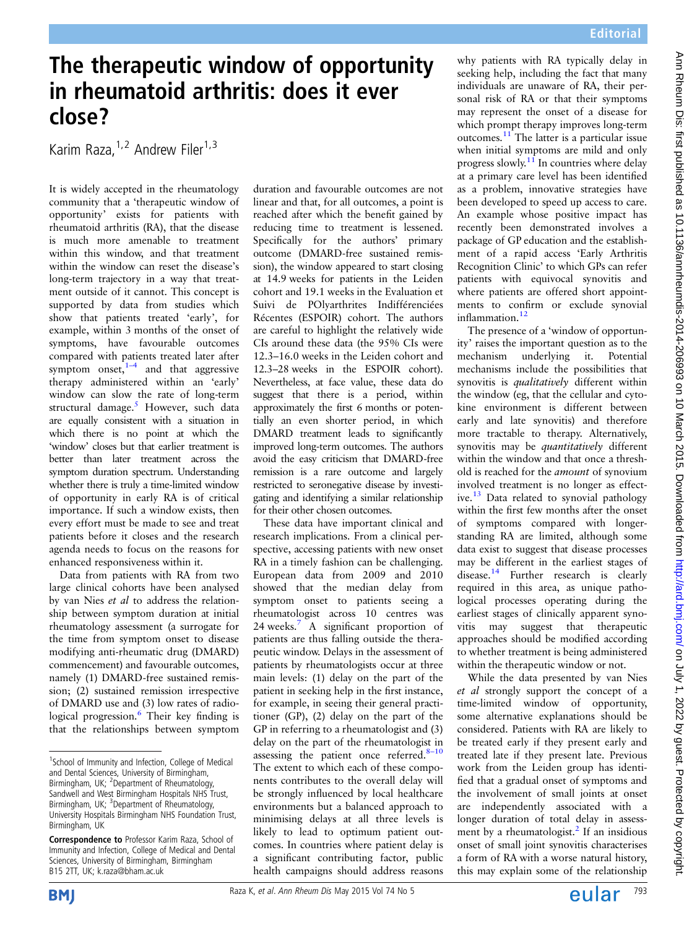## The therapeutic window of opportunity in rheumatoid arthritis: does it ever close?

Karim Raza, <sup>1,2</sup> Andrew Filer<sup>1,3</sup>

It is widely accepted in the rheumatology community that a 'therapeutic window of opportunity' exists for patients with rheumatoid arthritis (RA), that the disease is much more amenable to treatment within this window, and that treatment within the window can reset the disease's long-term trajectory in a way that treatment outside of it cannot. This concept is supported by data from studies which show that patients treated 'early', for example, within 3 months of the onset of symptoms, have favourable outcomes compared with patients treated later after symptom onset, $1-4$  and that aggressive therapy administered within an 'early' window can slow the rate of long-term structural damage.<sup>[5](#page-1-0)</sup> However, such data are equally consistent with a situation in which there is no point at which the 'window' closes but that earlier treatment is better than later treatment across the symptom duration spectrum. Understanding whether there is truly a time-limited window of opportunity in early RA is of critical importance. If such a window exists, then every effort must be made to see and treat patients before it closes and the research agenda needs to focus on the reasons for enhanced responsiveness within it.

Data from patients with RA from two large clinical cohorts have been analysed by van Nies et al to address the relationship between symptom duration at initial rheumatology assessment (a surrogate for the time from symptom onset to disease modifying anti-rheumatic drug (DMARD) commencement) and favourable outcomes, namely (1) DMARD-free sustained remission; (2) sustained remission irrespective of DMARD use and (3) low rates of radiological progression.<sup>6</sup> Their key finding is that the relationships between symptom

duration and favourable outcomes are not linear and that, for all outcomes, a point is reached after which the benefit gained by reducing time to treatment is lessened. Specifically for the authors' primary outcome (DMARD-free sustained remission), the window appeared to start closing at 14.9 weeks for patients in the Leiden cohort and 19.1 weeks in the Evaluation et Suivi de POlyarthrites Indifférenciées Récentes (ESPOIR) cohort. The authors are careful to highlight the relatively wide CIs around these data (the 95% CIs were 12.3–16.0 weeks in the Leiden cohort and 12.3–28 weeks in the ESPOIR cohort). Nevertheless, at face value, these data do suggest that there is a period, within approximately the first 6 months or potentially an even shorter period, in which DMARD treatment leads to significantly improved long-term outcomes. The authors avoid the easy criticism that DMARD-free remission is a rare outcome and largely restricted to seronegative disease by investigating and identifying a similar relationship for their other chosen outcomes.

These data have important clinical and research implications. From a clinical perspective, accessing patients with new onset RA in a timely fashion can be challenging. European data from 2009 and 2010 showed that the median delay from symptom onset to patients seeing a rheumatologist across 10 centres was 24 weeks.<sup>[7](#page-1-0)</sup> A significant proportion of patients are thus falling outside the therapeutic window. Delays in the assessment of patients by rheumatologists occur at three main levels: (1) delay on the part of the patient in seeking help in the first instance, for example, in seeing their general practitioner (GP), (2) delay on the part of the GP in referring to a rheumatologist and (3) delay on the part of the rheumatologist in assessing the patient once referred. $8-10$  $8-10$ The extent to which each of these components contributes to the overall delay will be strongly influenced by local healthcare environments but a balanced approach to minimising delays at all three levels is likely to lead to optimum patient outcomes. In countries where patient delay is a significant contributing factor, public health campaigns should address reasons

why patients with RA typically delay in seeking help, including the fact that many individuals are unaware of RA, their personal risk of RA or that their symptoms may represent the onset of a disease for which prompt therapy improves long-term outcomes.[11](#page-1-0) The latter is a particular issue when initial symptoms are mild and only progress slowly.<sup>[11](#page-1-0)</sup> In countries where delay at a primary care level has been identified as a problem, innovative strategies have been developed to speed up access to care. An example whose positive impact has recently been demonstrated involves a package of GP education and the establishment of a rapid access 'Early Arthritis Recognition Clinic' to which GPs can refer patients with equivocal synovitis and where patients are offered short appointments to confirm or exclude synovial inflammation.<sup>[12](#page-1-0)</sup>

The presence of a 'window of opportunity' raises the important question as to the mechanism underlying it. Potential mechanisms include the possibilities that synovitis is qualitatively different within the window (eg, that the cellular and cytokine environment is different between early and late synovitis) and therefore more tractable to therapy. Alternatively, synovitis may be quantitatively different within the window and that once a threshold is reached for the amount of synovium involved treatment is no longer as effect-ive.<sup>[13](#page-1-0)</sup> Data related to synovial pathology within the first few months after the onset of symptoms compared with longerstanding RA are limited, although some data exist to suggest that disease processes may be different in the earliest stages of disease.[14](#page-1-0) Further research is clearly required in this area, as unique pathological processes operating during the earliest stages of clinically apparent synovitis may suggest that therapeutic approaches should be modified according to whether treatment is being administered within the therapeutic window or not.

While the data presented by van Nies et al strongly support the concept of a time-limited window of opportunity, some alternative explanations should be considered. Patients with RA are likely to be treated early if they present early and treated late if they present late. Previous work from the Leiden group has identified that a gradual onset of symptoms and the involvement of small joints at onset are independently associated with a longer duration of total delay in assessment by a rheumatologist. $^{2}$  $^{2}$  $^{2}$  If an insidious onset of small joint synovitis characterises a form of RA with a worse natural history, this may explain some of the relationship



<sup>&</sup>lt;sup>1</sup>School of Immunity and Infection, College of Medical and Dental Sciences, University of Birmingham, Birmingham, UK; <sup>2</sup> Department of Rheumatology, Sandwell and West Birmingham Hospitals NHS Trust, Birmingham, UK; <sup>3</sup>Department of Rheumatology, University Hospitals Birmingham NHS Foundation Trust, Birmingham, UK

Correspondence to Professor Karim Raza, School of Immunity and Infection, College of Medical and Dental Sciences, University of Birmingham, Birmingham B15 2TT, UK; k.raza@bham.ac.uk